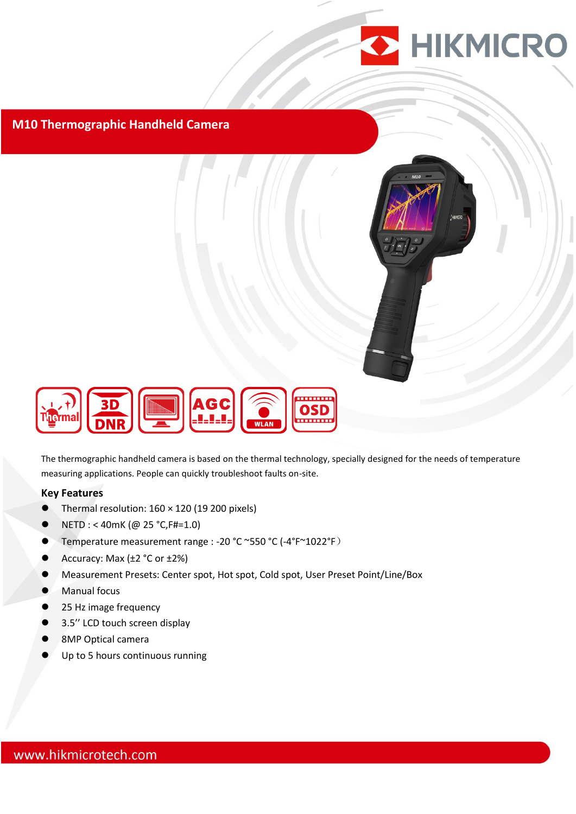

#### **M10 Thermographic Handheld Camera**



The thermographic handheld camera is based on the thermal technology, specially designed for the needs of temperature measuring applications. People can quickly troubleshoot faults on-site.

#### **Key Features**

- Thermal resolution: 160 × 120 (19 200 pixels)
- $\bullet$  NETD : < 40mK (@ 25 °C, F#=1.0)
- Temperature measurement range : -20 °C ~550 °C (-4°F~1022°F)
- Accuracy: Max  $(\pm 2 \degree C \text{ or } \pm 2\%)$
- Measurement Presets: Center spot, Hot spot, Cold spot, User Preset Point/Line/Box
- **Manual focus**
- 25 Hz image frequency
- 3.5'' LCD touch screen display
- 8MP Optical camera
- Up to 5 hours continuous running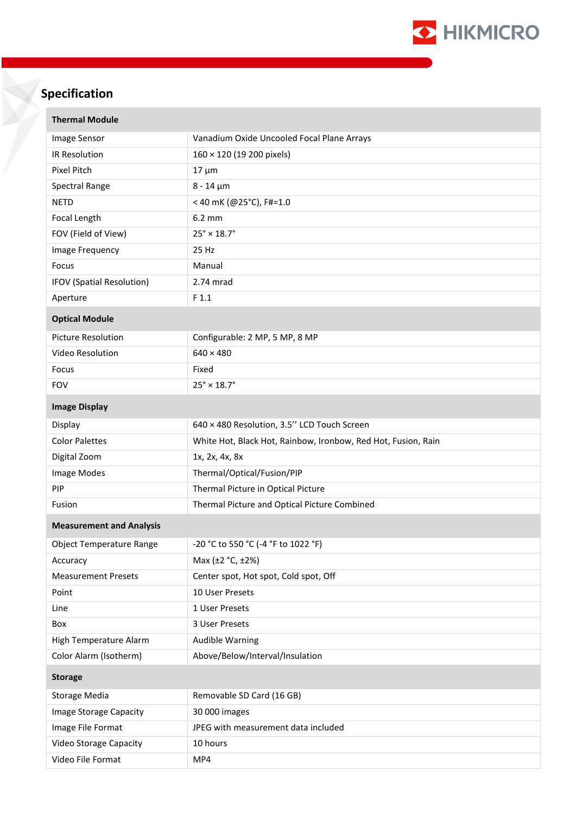

# **Specification**

| <b>Thermal Module</b>           |                                                               |
|---------------------------------|---------------------------------------------------------------|
| Image Sensor                    | Vanadium Oxide Uncooled Focal Plane Arrays                    |
| IR Resolution                   | 160 × 120 (19 200 pixels)                                     |
| <b>Pixel Pitch</b>              | $17 \mu m$                                                    |
| Spectral Range                  | $8 - 14 \mu m$                                                |
| <b>NETD</b>                     | < 40 mK (@25°C), F#=1.0                                       |
| Focal Length                    | 6.2 mm                                                        |
| FOV (Field of View)             | $25^\circ \times 18.7^\circ$                                  |
| Image Frequency                 | 25 Hz                                                         |
| Focus                           | Manual                                                        |
| IFOV (Spatial Resolution)       | 2.74 mrad                                                     |
| Aperture                        | F 1.1                                                         |
| <b>Optical Module</b>           |                                                               |
| <b>Picture Resolution</b>       | Configurable: 2 MP, 5 MP, 8 MP                                |
| Video Resolution                | $640 \times 480$                                              |
| Focus                           | Fixed                                                         |
| <b>FOV</b>                      | $25^\circ \times 18.7^\circ$                                  |
| <b>Image Display</b>            |                                                               |
| Display                         | 640 × 480 Resolution, 3.5" LCD Touch Screen                   |
| <b>Color Palettes</b>           | White Hot, Black Hot, Rainbow, Ironbow, Red Hot, Fusion, Rain |
| Digital Zoom                    | 1x, 2x, 4x, 8x                                                |
| Image Modes                     | Thermal/Optical/Fusion/PIP                                    |
| PIP                             | Thermal Picture in Optical Picture                            |
| Fusion                          | Thermal Picture and Optical Picture Combined                  |
| <b>Measurement and Analysis</b> |                                                               |
| <b>Object Temperature Range</b> | -20 °C to 550 °C (-4 °F to 1022 °F)                           |
| Accuracy                        | Max (±2 °C, ±2%)                                              |
| <b>Measurement Presets</b>      | Center spot, Hot spot, Cold spot, Off                         |
| Point                           | 10 User Presets                                               |
| Line                            | 1 User Presets                                                |
| Box                             | 3 User Presets                                                |
| High Temperature Alarm          | <b>Audible Warning</b>                                        |
| Color Alarm (Isotherm)          | Above/Below/Interval/Insulation                               |
| <b>Storage</b>                  |                                                               |
| <b>Storage Media</b>            | Removable SD Card (16 GB)                                     |
| Image Storage Capacity          | 30 000 images                                                 |
| Image File Format               | JPEG with measurement data included                           |
| <b>Video Storage Capacity</b>   | 10 hours                                                      |
| Video File Format               | MP4                                                           |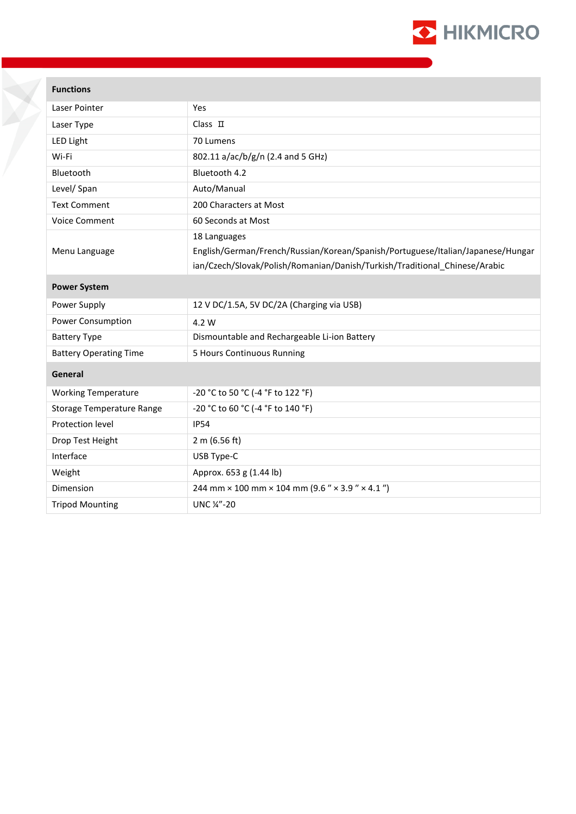

### **Functions**

| Laser Pointer                    | Yes                                                                             |
|----------------------------------|---------------------------------------------------------------------------------|
| Laser Type                       | $Class$ $\Pi$                                                                   |
| LED Light                        | 70 Lumens                                                                       |
| Wi-Fi                            | 802.11 a/ac/b/g/n (2.4 and 5 GHz)                                               |
| Bluetooth                        | Bluetooth 4.2                                                                   |
| Level/ Span                      | Auto/Manual                                                                     |
| <b>Text Comment</b>              | 200 Characters at Most                                                          |
| <b>Voice Comment</b>             | 60 Seconds at Most                                                              |
|                                  | 18 Languages                                                                    |
| Menu Language                    | English/German/French/Russian/Korean/Spanish/Portuguese/Italian/Japanese/Hungar |
|                                  | ian/Czech/Slovak/Polish/Romanian/Danish/Turkish/Traditional Chinese/Arabic      |
| <b>Power System</b>              |                                                                                 |
| Power Supply                     | 12 V DC/1.5A, 5V DC/2A (Charging via USB)                                       |
| Power Consumption                | 4.2 W                                                                           |
| <b>Battery Type</b>              | Dismountable and Rechargeable Li-ion Battery                                    |
| <b>Battery Operating Time</b>    | 5 Hours Continuous Running                                                      |
| General                          |                                                                                 |
| <b>Working Temperature</b>       | -20 °C to 50 °C (-4 °F to 122 °F)                                               |
| <b>Storage Temperature Range</b> | -20 °C to 60 °C (-4 °F to 140 °F)                                               |
| Protection level                 | <b>IP54</b>                                                                     |
| Drop Test Height                 | 2 m (6.56 ft)                                                                   |
| Interface                        | USB Type-C                                                                      |
| Weight                           | Approx. 653 g (1.44 lb)                                                         |
| Dimension                        | 244 mm $\times$ 100 mm $\times$ 104 mm (9.6 " $\times$ 3.9 " $\times$ 4.1 ")    |
| <b>Tripod Mounting</b>           | UNC 1/4"-20                                                                     |